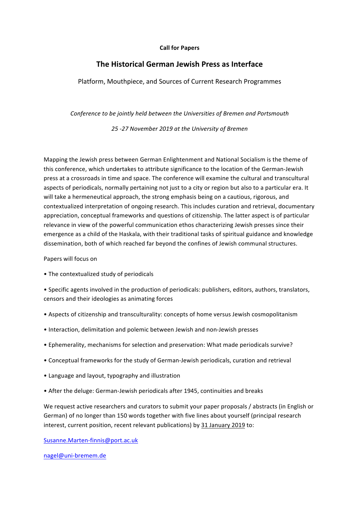## **Call for Papers**

## **The Historical German Jewish Press as Interface**

Platform, Mouthpiece, and Sources of Current Research Programmes

*Conference to be jointly held between the Universities of Bremen and Portsmouth*

*25 -27 November 2019 at the University of Bremen*

Mapping the Jewish press between German Enlightenment and National Socialism is the theme of this conference, which undertakes to attribute significance to the location of the German-Jewish press at a crossroads in time and space. The conference will examine the cultural and transcultural aspects of periodicals, normally pertaining not just to a city or region but also to a particular era. It will take a hermeneutical approach, the strong emphasis being on a cautious, rigorous, and contextualized interpretation of ongoing research. This includes curation and retrieval, documentary appreciation, conceptual frameworks and questions of citizenship. The latter aspect is of particular relevance in view of the powerful communication ethos characterizing Jewish presses since their emergence as a child of the Haskala, with their traditional tasks of spiritual guidance and knowledge dissemination, both of which reached far beyond the confines of Jewish communal structures.

Papers will focus on

• The contextualized study of periodicals

• Specific agents involved in the production of periodicals: publishers, editors, authors, translators, censors and their ideologies as animating forces

- Aspects of citizenship and transculturality: concepts of home versus Jewish cosmopolitanism
- Interaction, delimitation and polemic between Jewish and non-Jewish presses
- Ephemerality, mechanisms for selection and preservation: What made periodicals survive?
- Conceptual frameworks for the study of German-Jewish periodicals, curation and retrieval
- Language and layout, typography and illustration
- After the deluge: German-Jewish periodicals after 1945, continuities and breaks

We request active researchers and curators to submit your paper proposals / abstracts (in English or German) of no longer than 150 words together with five lines about yourself (principal research interest, current position, recent relevant publications) by 31 January 2019 to:

Susanne.Marten-finnis@port.ac.uk

nagel@uni-bremem.de